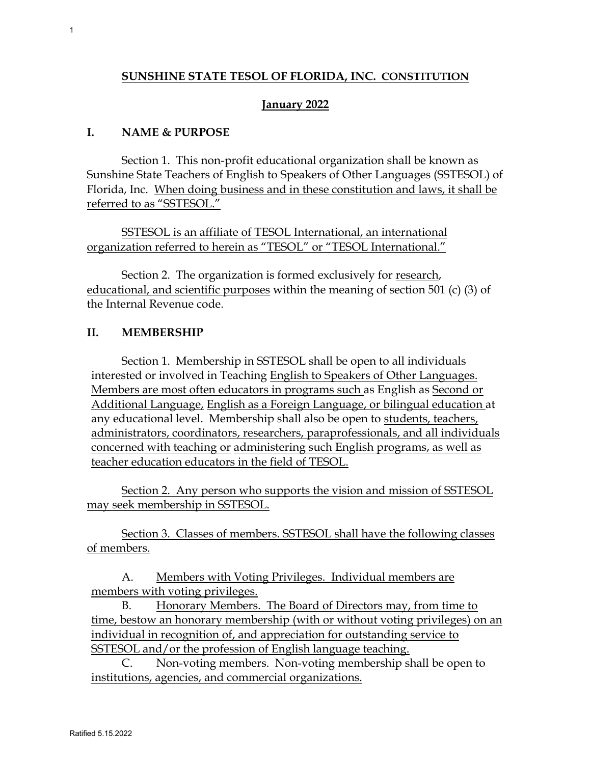## **SUNSHINE STATE TESOL OF FLORIDA, INC. CONSTITUTION**

# **January 2022**

# **I. NAME & PURPOSE**

Section 1. This non-profit educational organization shall be known as Sunshine State Teachers of English to Speakers of Other Languages (SSTESOL) of Florida, Inc. When doing business and in these constitution and laws, it shall be referred to as "SSTESOL."

SSTESOL is an affiliate of TESOL International, an international organization referred to herein as "TESOL" or "TESOL International."

Section 2. The organization is formed exclusively for research, educational, and scientific purposes within the meaning of section 501 (c) (3) of the Internal Revenue code.

# **II. MEMBERSHIP**

Section 1. Membership in SSTESOL shall be open to all individuals interested or involved in Teaching English to Speakers of Other Languages. Members are most often educators in programs such as English as Second or Additional Language, English as a Foreign Language, or bilingual education at any educational level. Membership shall also be open to students, teachers, administrators, coordinators, researchers, paraprofessionals, and all individuals concerned with teaching or administering such English programs, as well as teacher education educators in the field of TESOL.

Section 2. Any person who supports the vision and mission of SSTESOL may seek membership in SSTESOL.

Section 3. Classes of members. SSTESOL shall have the following classes of members.

A. Members with Voting Privileges. Individual members are members with voting privileges.

B. Honorary Members. The Board of Directors may, from time to time, bestow an honorary membership (with or without voting privileges) on an individual in recognition of, and appreciation for outstanding service to SSTESOL and/or the profession of English language teaching.

C. Non-voting members. Non-voting membership shall be open to institutions, agencies, and commercial organizations.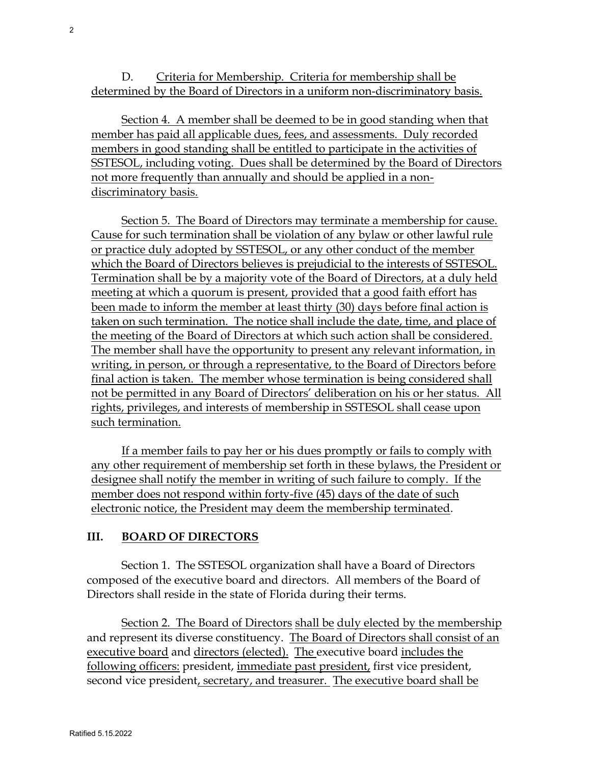D. Criteria for Membership. Criteria for membership shall be determined by the Board of Directors in a uniform non-discriminatory basis.

Section 4. A member shall be deemed to be in good standing when that member has paid all applicable dues, fees, and assessments. Duly recorded members in good standing shall be entitled to participate in the activities of SSTESOL, including voting. Dues shall be determined by the Board of Directors not more frequently than annually and should be applied in a nondiscriminatory basis.

Section 5. The Board of Directors may terminate a membership for cause. Cause for such termination shall be violation of any bylaw or other lawful rule or practice duly adopted by SSTESOL, or any other conduct of the member which the Board of Directors believes is prejudicial to the interests of SSTESOL. Termination shall be by a majority vote of the Board of Directors, at a duly held meeting at which a quorum is present, provided that a good faith effort has been made to inform the member at least thirty (30) days before final action is taken on such termination. The notice shall include the date, time, and place of the meeting of the Board of Directors at which such action shall be considered. The member shall have the opportunity to present any relevant information, in writing, in person, or through a representative, to the Board of Directors before final action is taken. The member whose termination is being considered shall not be permitted in any Board of Directors' deliberation on his or her status. All rights, privileges, and interests of membership in SSTESOL shall cease upon such termination.

If a member fails to pay her or his dues promptly or fails to comply with any other requirement of membership set forth in these bylaws, the President or designee shall notify the member in writing of such failure to comply. If the member does not respond within forty-five (45) days of the date of such electronic notice, the President may deem the membership terminated.

# **III. BOARD OF DIRECTORS**

Section 1. The SSTESOL organization shall have a Board of Directors composed of the executive board and directors. All members of the Board of Directors shall reside in the state of Florida during their terms.

Section 2. The Board of Directors shall be duly elected by the membership and represent its diverse constituency. The Board of Directors shall consist of an executive board and directors (elected). The executive board includes the following officers: president, immediate past president, first vice president, second vice president, secretary, and treasurer. The executive board shall be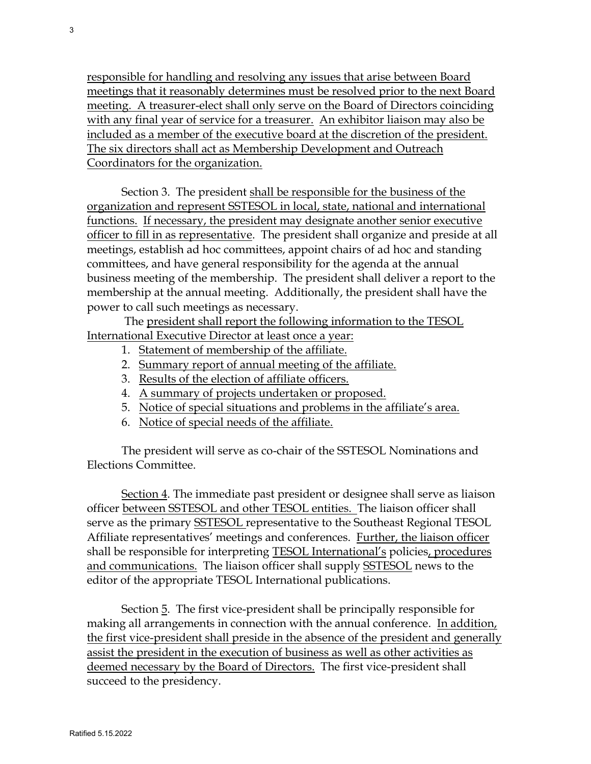responsible for handling and resolving any issues that arise between Board meetings that it reasonably determines must be resolved prior to the next Board meeting. A treasurer-elect shall only serve on the Board of Directors coinciding with any final year of service for a treasurer. An exhibitor liaison may also be included as a member of the executive board at the discretion of the president. The six directors shall act as Membership Development and Outreach Coordinators for the organization.

Section 3. The president shall be responsible for the business of the organization and represent SSTESOL in local, state, national and international functions. If necessary, the president may designate another senior executive officer to fill in as representative. The president shall organize and preside at all meetings, establish ad hoc committees, appoint chairs of ad hoc and standing committees, and have general responsibility for the agenda at the annual business meeting of the membership. The president shall deliver a report to the membership at the annual meeting. Additionally, the president shall have the power to call such meetings as necessary.

The president shall report the following information to the TESOL International Executive Director at least once a year:

- 1. Statement of membership of the affiliate.
- 2. Summary report of annual meeting of the affiliate.
- 3. Results of the election of affiliate officers.
- 4. A summary of projects undertaken or proposed.
- 5. Notice of special situations and problems in the affiliate's area.
- 6. Notice of special needs of the affiliate.

The president will serve as co-chair of the SSTESOL Nominations and Elections Committee.

Section 4. The immediate past president or designee shall serve as liaison officer between SSTESOL and other TESOL entities. The liaison officer shall serve as the primary SSTESOL representative to the Southeast Regional TESOL Affiliate representatives' meetings and conferences. Further, the liaison officer shall be responsible for interpreting TESOL International's policies, procedures and communications. The liaison officer shall supply SSTESOL news to the editor of the appropriate TESOL International publications.

Section 5. The first vice-president shall be principally responsible for making all arrangements in connection with the annual conference. In addition, the first vice-president shall preside in the absence of the president and generally assist the president in the execution of business as well as other activities as deemed necessary by the Board of Directors. The first vice-president shall succeed to the presidency.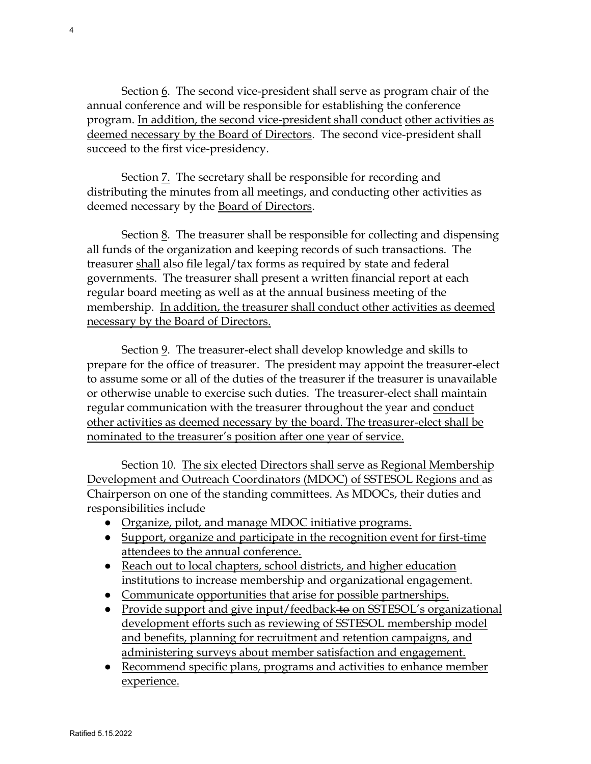Section 6. The second vice-president shall serve as program chair of the annual conference and will be responsible for establishing the conference program. In addition, the second vice-president shall conduct other activities as deemed necessary by the Board of Directors. The second vice-president shall succeed to the first vice-presidency.

Section  $\overline{z}$ . The secretary shall be responsible for recording and distributing the minutes from all meetings, and conducting other activities as deemed necessary by the Board of Directors.

Section 8. The treasurer shall be responsible for collecting and dispensing all funds of the organization and keeping records of such transactions. The treasurer shall also file legal/tax forms as required by state and federal governments. The treasurer shall present a written financial report at each regular board meeting as well as at the annual business meeting of the membership. In addition, the treasurer shall conduct other activities as deemed necessary by the Board of Directors.

Section 9. The treasurer-elect shall develop knowledge and skills to prepare for the office of treasurer. The president may appoint the treasurer-elect to assume some or all of the duties of the treasurer if the treasurer is unavailable or otherwise unable to exercise such duties. The treasurer-elect shall maintain regular communication with the treasurer throughout the year and conduct other activities as deemed necessary by the board. The treasurer-elect shall be nominated to the treasurer's position after one year of service.

Section 10. The six elected Directors shall serve as Regional Membership Development and Outreach Coordinators (MDOC) of SSTESOL Regions and as Chairperson on one of the standing committees. As MDOCs, their duties and responsibilities include

- Organize, pilot, and manage MDOC initiative programs.
- Support, organize and participate in the recognition event for first-time attendees to the annual conference.
- Reach out to local chapters, school districts, and higher education institutions to increase membership and organizational engagement.
- Communicate opportunities that arise for possible partnerships.
- Provide support and give input/feedback to on SSTESOL's organizational development efforts such as reviewing of SSTESOL membership model and benefits, planning for recruitment and retention campaigns, and administering surveys about member satisfaction and engagement.
- Recommend specific plans, programs and activities to enhance member experience.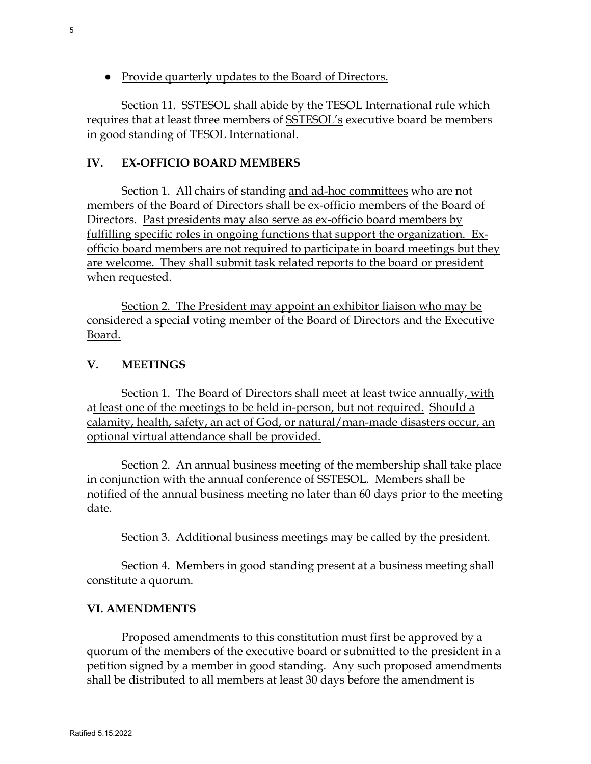● Provide quarterly updates to the Board of Directors.

Section 11. SSTESOL shall abide by the TESOL International rule which requires that at least three members of SSTESOL's executive board be members in good standing of TESOL International.

#### **IV. EX-OFFICIO BOARD MEMBERS**

Section 1. All chairs of standing and ad-hoc committees who are not members of the Board of Directors shall be ex-officio members of the Board of Directors. Past presidents may also serve as ex-officio board members by fulfilling specific roles in ongoing functions that support the organization. Exofficio board members are not required to participate in board meetings but they are welcome. They shall submit task related reports to the board or president when requested.

Section 2. The President may appoint an exhibitor liaison who may be considered a special voting member of the Board of Directors and the Executive Board.

#### **V. MEETINGS**

Section 1. The Board of Directors shall meet at least twice annually, with at least one of the meetings to be held in-person, but not required. Should a calamity, health, safety, an act of God, or natural/man-made disasters occur, an optional virtual attendance shall be provided.

Section 2. An annual business meeting of the membership shall take place in conjunction with the annual conference of SSTESOL. Members shall be notified of the annual business meeting no later than 60 days prior to the meeting date.

Section 3. Additional business meetings may be called by the president.

Section 4. Members in good standing present at a business meeting shall constitute a quorum.

#### **VI. AMENDMENTS**

Proposed amendments to this constitution must first be approved by a quorum of the members of the executive board or submitted to the president in a petition signed by a member in good standing. Any such proposed amendments shall be distributed to all members at least 30 days before the amendment is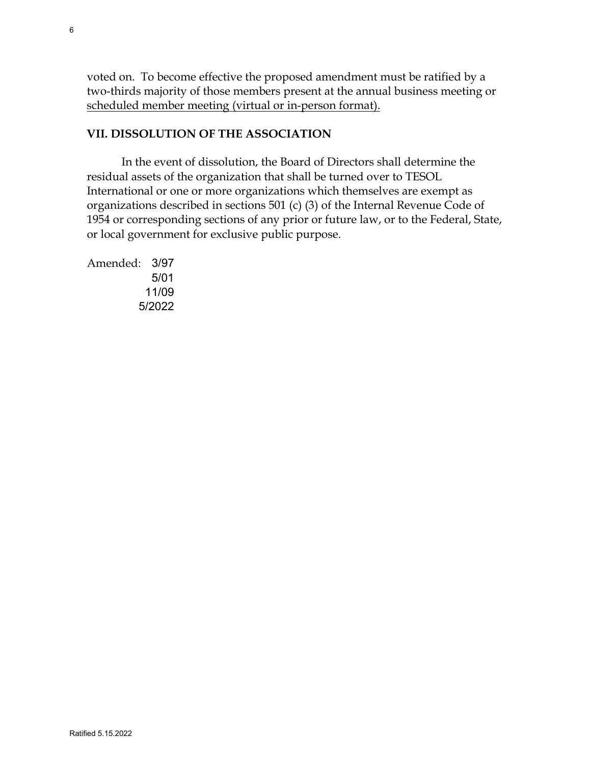voted on. To become effective the proposed amendment must be ratified by a two-thirds majority of those members present at the annual business meeting or scheduled member meeting (virtual or in-person format).

# **VII. DISSOLUTION OF THE ASSOCIATION**

In the event of dissolution, the Board of Directors shall determine the residual assets of the organization that shall be turned over to TESOL International or one or more organizations which themselves are exempt as organizations described in sections 501 (c) (3) of the Internal Revenue Code of 1954 or corresponding sections of any prior or future law, or to the Federal, State, or local government for exclusive public purpose.

Amended: 3/97 5/01 11/09 5/2022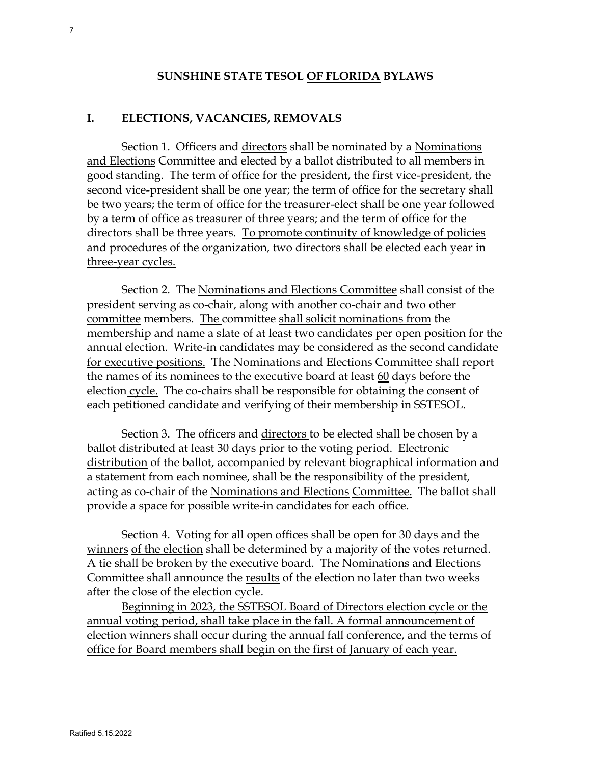#### **SUNSHINE STATE TESOL OF FLORIDA BYLAWS**

#### **I. ELECTIONS, VACANCIES, REMOVALS**

Section 1. Officers and directors shall be nominated by a Nominations and Elections Committee and elected by a ballot distributed to all members in good standing. The term of office for the president, the first vice-president, the second vice-president shall be one year; the term of office for the secretary shall be two years; the term of office for the treasurer-elect shall be one year followed by a term of office as treasurer of three years; and the term of office for the directors shall be three years. To promote continuity of knowledge of policies and procedures of the organization, two directors shall be elected each year in three-year cycles.

Section 2. The Nominations and Elections Committee shall consist of the president serving as co-chair, along with another co-chair and two other committee members. The committee shall solicit nominations from the membership and name a slate of at least two candidates per open position for the annual election. Write-in candidates may be considered as the second candidate for executive positions. The Nominations and Elections Committee shall report the names of its nominees to the executive board at least 60 days before the election cycle. The co-chairs shall be responsible for obtaining the consent of each petitioned candidate and verifying of their membership in SSTESOL.

Section 3. The officers and directors to be elected shall be chosen by a ballot distributed at least 30 days prior to the voting period. Electronic distribution of the ballot, accompanied by relevant biographical information and a statement from each nominee, shall be the responsibility of the president, acting as co-chair of the Nominations and Elections Committee. The ballot shall provide a space for possible write-in candidates for each office.

Section 4. Voting for all open offices shall be open for 30 days and the winners of the election shall be determined by a majority of the votes returned. A tie shall be broken by the executive board. The Nominations and Elections Committee shall announce the results of the election no later than two weeks after the close of the election cycle.

Beginning in 2023, the SSTESOL Board of Directors election cycle or the annual voting period, shall take place in the fall. A formal announcement of election winners shall occur during the annual fall conference, and the terms of office for Board members shall begin on the first of January of each year.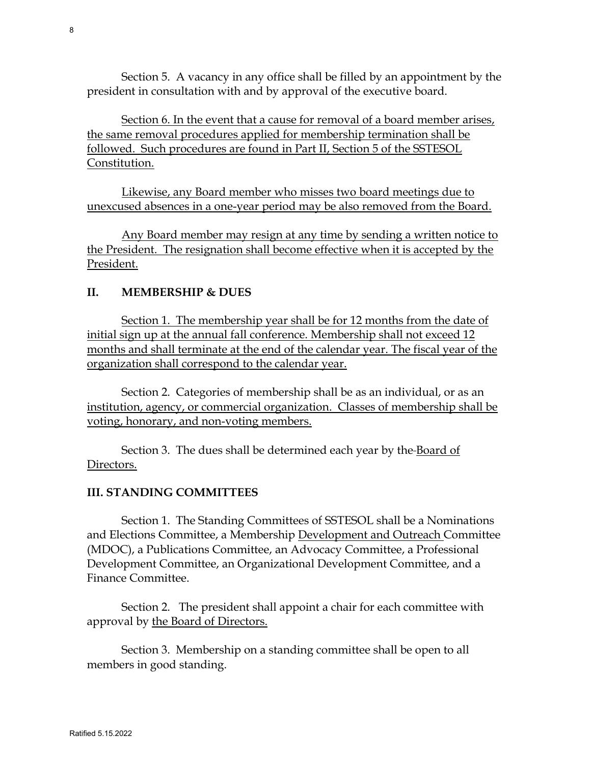Section 5. A vacancy in any office shall be filled by an appointment by the president in consultation with and by approval of the executive board.

Section 6. In the event that a cause for removal of a board member arises, the same removal procedures applied for membership termination shall be followed. Such procedures are found in Part II, Section 5 of the SSTESOL Constitution.

Likewise, any Board member who misses two board meetings due to unexcused absences in a one-year period may be also removed from the Board.

Any Board member may resign at any time by sending a written notice to the President. The resignation shall become effective when it is accepted by the President.

# **II. MEMBERSHIP & DUES**

Section 1. The membership year shall be for 12 months from the date of initial sign up at the annual fall conference. Membership shall not exceed 12 months and shall terminate at the end of the calendar year. The fiscal year of the organization shall correspond to the calendar year.

Section 2. Categories of membership shall be as an individual, or as an institution, agency, or commercial organization. Classes of membership shall be voting, honorary, and non-voting members.

Section 3. The dues shall be determined each year by the Board of Directors.

# **III. STANDING COMMITTEES**

Section 1. The Standing Committees of SSTESOL shall be a Nominations and Elections Committee, a Membership Development and Outreach Committee (MDOC), a Publications Committee, an Advocacy Committee, a Professional Development Committee, an Organizational Development Committee, and a Finance Committee.

Section 2. The president shall appoint a chair for each committee with approval by the Board of Directors.

Section 3. Membership on a standing committee shall be open to all members in good standing.